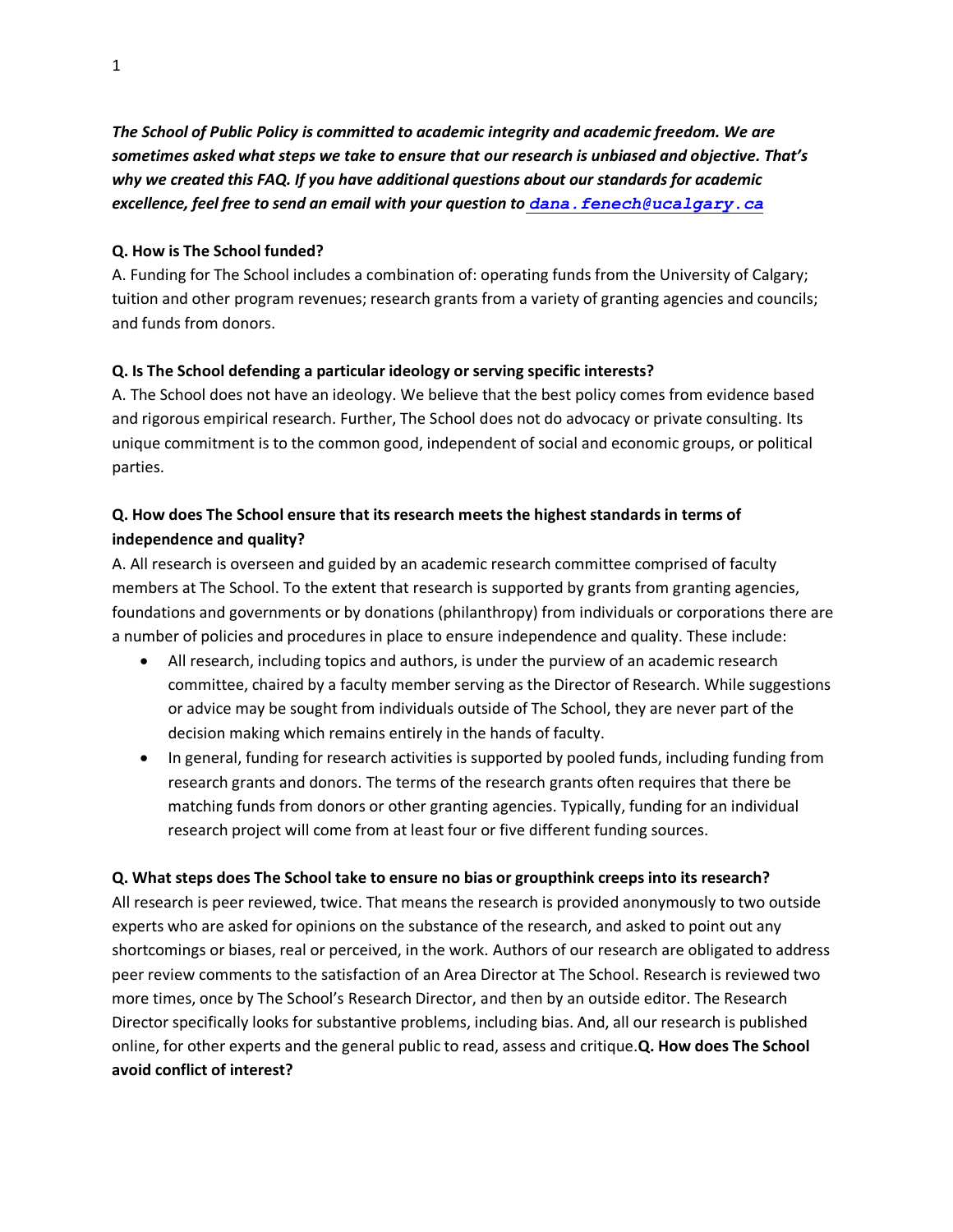*The School of Public Policy is committed to academic integrity and academic freedom. We are sometimes asked what steps we take to ensure that our research is unbiased and objective. That's why we created this FAQ. If you have additional questions about our standards for academic excellence, feel free to send an email with your question to [dana.fenech@ucalgary.ca](mailto:morten.paulsen2@ucalgary.ca)*

### **Q. How is The School funded?**

A. Funding for The School includes a combination of: operating funds from the University of Calgary; tuition and other program revenues; research grants from a variety of granting agencies and councils; and funds from donors.

# **Q. Is The School defending a particular ideology or serving specific interests?**

A. The School does not have an ideology. We believe that the best policy comes from evidence based and rigorous empirical research. Further, The School does not do advocacy or private consulting. Its unique commitment is to the common good, independent of social and economic groups, or political parties.

# **Q. How does The School ensure that its research meets the highest standards in terms of independence and quality?**

A. All research is overseen and guided by an academic research committee comprised of faculty members at The School. To the extent that research is supported by grants from granting agencies, foundations and governments or by donations (philanthropy) from individuals or corporations there are a number of policies and procedures in place to ensure independence and quality. These include:

- All research, including topics and authors, is under the purview of an academic research committee, chaired by a faculty member serving as the Director of Research. While suggestions or advice may be sought from individuals outside of The School, they are never part of the decision making which remains entirely in the hands of faculty.
- In general, funding for research activities is supported by pooled funds, including funding from research grants and donors. The terms of the research grants often requires that there be matching funds from donors or other granting agencies. Typically, funding for an individual research project will come from at least four or five different funding sources.

# **Q. What steps does The School take to ensure no bias or groupthink creeps into its research?**

All research is peer reviewed, twice. That means the research is provided anonymously to two outside experts who are asked for opinions on the substance of the research, and asked to point out any shortcomings or biases, real or perceived, in the work. Authors of our research are obligated to address peer review comments to the satisfaction of an Area Director at The School. Research is reviewed two more times, once by The School's Research Director, and then by an outside editor. The Research Director specifically looks for substantive problems, including bias. And, all our research is published online, for other experts and the general public to read, assess and critique.**Q. How does The School avoid conflict of interest?**